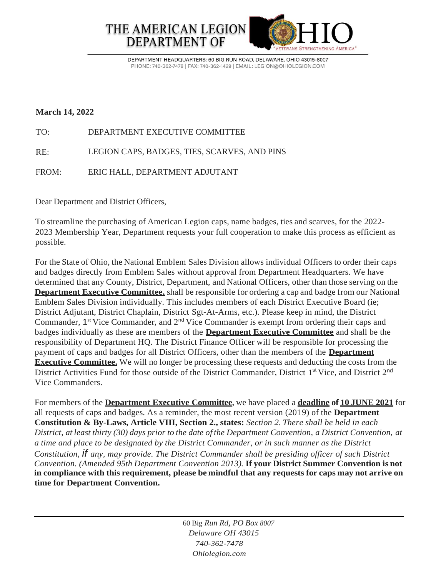

DEPARTMENT HEADQUARTERS: 60 BIG RUN ROAD, DELAWARE, OHIO 43015-8007 PHONE: 740-362-7478 | FAX: 740-362-1429 | EMAIL: LEGION@OHIOLEGION.COM

## **March 14, 2022**

TO: DEPARTMENT EXECUTIVE COMMITTEE

RE: LEGION CAPS, BADGES, TIES, SCARVES, AND PINS

FROM: ERIC HALL, DEPARTMENT ADJUTANT

Dear Department and District Officers,

To streamline the purchasing of American Legion caps, name badges, ties and scarves, for the 2022- 2023 Membership Year, Department requests your full cooperation to make this process as efficient as possible.

For the State of Ohio, the National Emblem Sales Division allows individual Officers to order their caps and badges directly from Emblem Sales without approval from Department Headquarters. We have determined that any County, District, Department, and National Officers, other than those serving on the **Department Executive Committee,** shall be responsible for ordering a cap and badge from our National Emblem Sales Division individually. This includes members of each District Executive Board (ie; District Adjutant, District Chaplain, District Sgt-At-Arms, etc.). Please keep in mind, the District Commander, 1<sup>st</sup> Vice Commander, and 2<sup>nd</sup> Vice Commander is exempt from ordering their caps and badges individually as these are members of the **Department Executive Committee** and shall be the responsibility of Department HQ. The District Finance Officer will be responsible for processing the payment of caps and badges for all District Officers, other than the members of the **Department Executive Committee.** We will no longer be processing these requests and deducting the costs from the District Activities Fund for those outside of the District Commander, District 1<sup>st</sup> Vice, and District 2<sup>nd</sup> Vice Commanders.

For members of the **Department Executive Committee,** we have placed a **deadline of 10 JUNE 2021** for all requests of caps and badges. As a reminder, the most recent version (2019) of the **Department Constitution & By-Laws, Article VIII, Section 2., states:** *Section 2. There shall be held in each*  District, at least thirty (30) days prior to the date of the Department Convention, a District Convention, at *a time and place to be designated by the District Commander, or in such manner as the District Constitution, if any, may provide. The District Commander shall be presiding officer of such District Convention. (Amended 95th Department Convention 2013).* **If your District Summer Convention is not in compliance with this requirement, please be mindful that any requests for caps may not arrive on time for Department Convention.**

> 60 Big *Run Rd, PO Box 8007 Delaware OH 43015 740-362-7478 Ohiolegion.com*